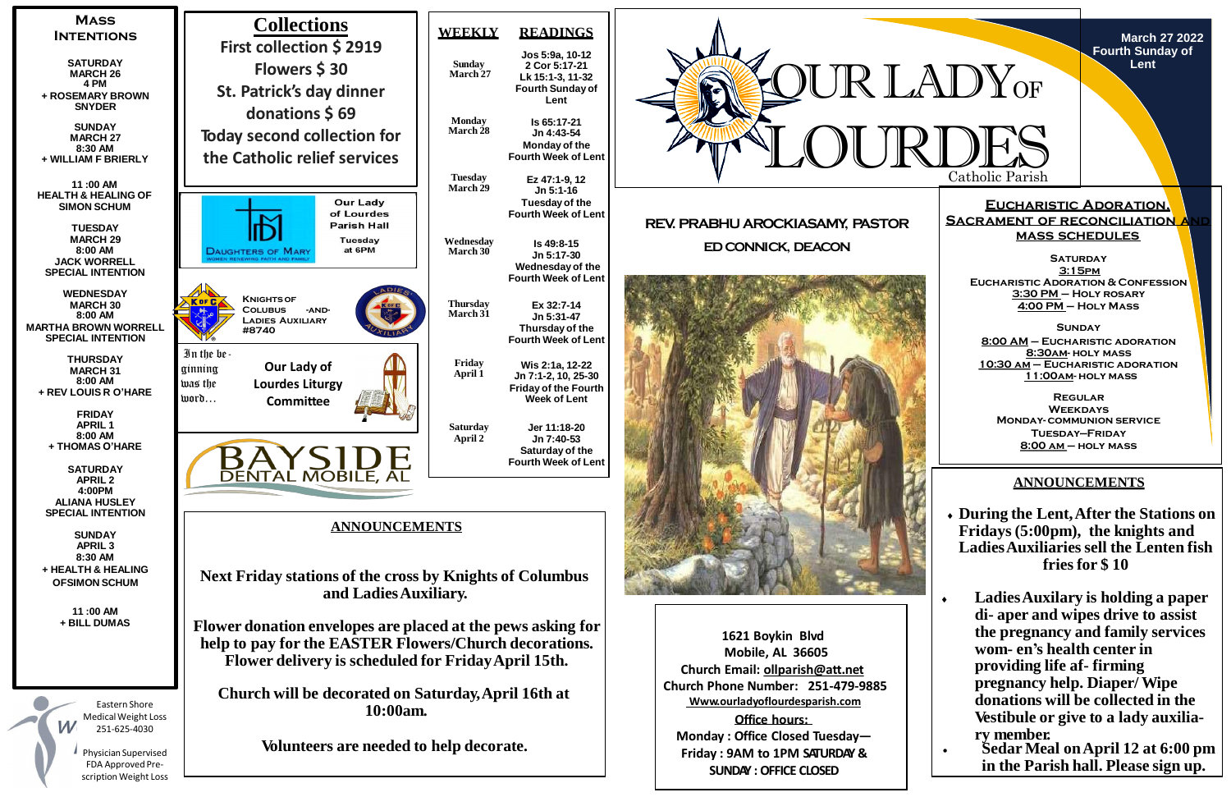

Catholic Parish

**March 27 2022 Fourth Sunday of Lent**

## **Eucharistic Adoration, Sacrament of reconciliation and mass schedules**

# **ANNOUNCEMENTS**

- **During the Lent,After the Stations on Fridays (5:00pm), the knights and LadiesAuxiliaries sell the Lenten fish fries for \$ 10**
- **LadiesAuxilary is holding a paper di- aper and wipes drive to assist the pregnancy and family services wom- en's health center in providing life af- firming pregnancy help. Diaper/ Wipe donations will be collected in the Vestibule or give to a lady auxiliary member.**
- **Sedar Meal onApril 12 at 6:00 pm in the Parish hall. Please sign up.**

**Saturday 3:15pm Eucharistic Adoration & Confession 3:30 PM – Holy rosary 4:00 PM – Holy Mass**

**Sunday 8:00 AM – Eucharistic adoration 8:30am- holy mass 10:30 am – Eucharistic adoration 11:00am- holy mass**

**Regular Weekdays Monday- communion service Tuesday—Friday 8:00 am – holy mass**